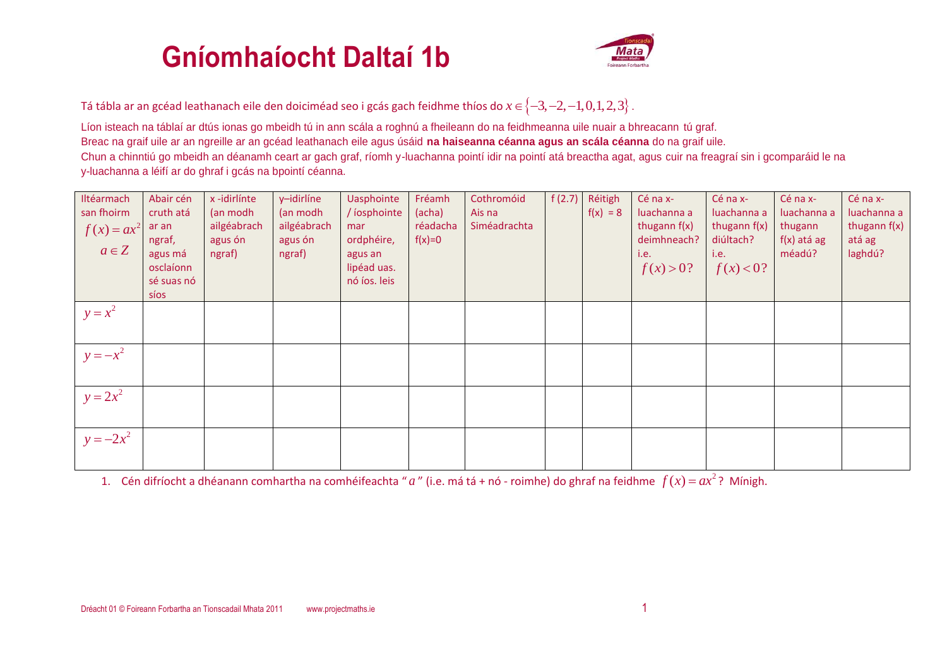## **Gníomhaíocht Daltaí 1b**



Tá tábla ar an gcéad leathanach eile den doiciméad seo i gcás gach feidhme thíos do  $x\in \left\{-3,-2,-1,0,1,2,3\right\}$  .

Líon isteach na táblaí ar dtús ionas go mbeidh tú in ann scála a roghnú a fheileann do na feidhmeanna uile nuair a bhreacann tú graf. Breac na graif uile ar an ngreille ar an gcéad leathanach eile agus úsáid **na haiseanna céanna agus an scála céanna** do na graif uile. Chun a chinntiú go mbeidh an déanamh ceart ar gach graf, ríomh y-luachanna pointí idir na pointí atá breactha agat, agus cuir na freagraí sin i gcomparáid le na y-luachanna a léifí ar do ghraf i gcás na bpointí céanna.

| Iltéarmach<br>san fhoirm<br>$f(x) = ax^2$<br>$a \in Z$ | Abair cén<br>cruth atá<br>ar an<br>ngraf,<br>agus má<br>osclaíonn<br>sé suas nó<br>síos | x-idirlínte<br>(an modh<br>ailgéabrach<br>agus ón<br>ngraf) | y-idirlíne<br>(an modh<br>ailgéabrach<br>agus ón<br>ngraf) | Uasphointe<br>/ iosphointe<br>mar<br>ordphéire,<br>agus an<br>lipéad uas.<br>nó íos. leis | Fréamh<br>(acha)<br>réadacha<br>$f(x)=0$ | Cothromóid<br>Ais na<br>Siméadrachta | f(2.7) | Réitigh<br>$f(x) = 8$ | Cé na x-<br>luachanna a<br>thugann $f(x)$<br>deimhneach?<br>i.e.<br>f(x) > 0? | Cé na x-<br>luachanna a<br>thugann $f(x)$<br>diúltach?<br>i.e.<br>f(x) < 0? | Cé na x-<br>luachanna a<br>thugann<br>$f(x)$ atá ag<br>méadú? | Cé na x-<br>luachanna a<br>thugann $f(x)$<br>atá ag<br>laghdú? |
|--------------------------------------------------------|-----------------------------------------------------------------------------------------|-------------------------------------------------------------|------------------------------------------------------------|-------------------------------------------------------------------------------------------|------------------------------------------|--------------------------------------|--------|-----------------------|-------------------------------------------------------------------------------|-----------------------------------------------------------------------------|---------------------------------------------------------------|----------------------------------------------------------------|
| $y = x^2$                                              |                                                                                         |                                                             |                                                            |                                                                                           |                                          |                                      |        |                       |                                                                               |                                                                             |                                                               |                                                                |
| $y = -x^2$                                             |                                                                                         |                                                             |                                                            |                                                                                           |                                          |                                      |        |                       |                                                                               |                                                                             |                                                               |                                                                |
| $y = 2x^2$                                             |                                                                                         |                                                             |                                                            |                                                                                           |                                          |                                      |        |                       |                                                                               |                                                                             |                                                               |                                                                |
| $y = -2x^2$                                            |                                                                                         |                                                             |                                                            |                                                                                           |                                          |                                      |        |                       |                                                                               |                                                                             |                                                               |                                                                |

1. Cén difríocht a dhéanann comhartha na comhéifeachta " a " (i.e. má tá + nó - roimhe) do ghraf na feidhme  $f(x)$  =  $ax^2$ ? Mínigh.